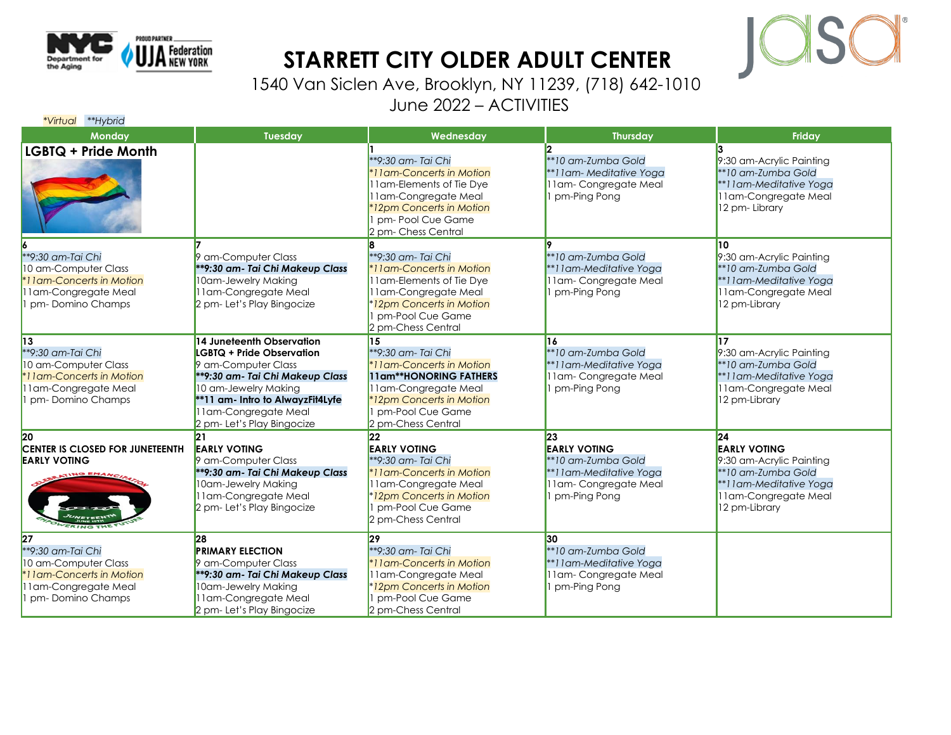

## **STARRETT CITY OLDER ADULT CENTER**



1540 Van Siclen Ave, Brooklyn, NY 11239, (718) 642-1010 June 2022 – ACTIVITIES

| *Virtual **Hybrid                                                                                                        |                                                                                                                                                                                                                                     |                                                                                                                                                                                     |                                                                                                                               |                                                                                                                                                 |
|--------------------------------------------------------------------------------------------------------------------------|-------------------------------------------------------------------------------------------------------------------------------------------------------------------------------------------------------------------------------------|-------------------------------------------------------------------------------------------------------------------------------------------------------------------------------------|-------------------------------------------------------------------------------------------------------------------------------|-------------------------------------------------------------------------------------------------------------------------------------------------|
| <b>Monday</b>                                                                                                            | Tuesday                                                                                                                                                                                                                             | Wednesday                                                                                                                                                                           | <b>Thursday</b>                                                                                                               | Friday                                                                                                                                          |
| <b>LGBTQ + Pride Month</b>                                                                                               |                                                                                                                                                                                                                                     | **9:30 am- Tai Chi<br>*11 am-Concerts in Motion<br>11 am-Elements of Tie Dye<br>11am-Congregate Meal<br>12pm Concerts in Motion<br>pm-Pool Cue Game<br>2 pm- Chess Central          | **10 am-Zumba Gold<br>**11am-Meditative Yoga<br>11am-Congregate Meal<br>pm-Ping Pong                                          | 9:30 am-Acrylic Painting<br>**10 am-Zumba Gold<br>**11am-Meditative Yoga<br>11 am-Congregate Meal<br>12 pm-Library                              |
| **9:30 am-Tai Chi<br>10 am-Computer Class<br>I lam-Concerts in Motion<br>I lam-Congregate Meal<br>pm-Domino Champs       | 9 am-Computer Class<br>**9:30 am- Tai Chi Makeup Class<br>10am-Jewelry Making<br>11am-Congregate Meal<br>2 pm- Let's Play Bingocize                                                                                                 | <sup>**9:30</sup> am- Tai Chi<br>*11am-Concerts in Motion<br>11am-Elements of Tie Dye<br>11am-Congregate Meal<br>*12pm Concerts in Motion<br>pm-Pool Cue Game<br>2 pm-Chess Central | $*10$ am-Zumba Gold<br>**11am-Meditative Yoga<br>11am-Congregate Meal<br>I pm-Ping Pong                                       | 10<br>9:30 am-Acrylic Painting<br>**10 am-Zumba Gold<br>**11am-Meditative Yoga<br>11am-Congregate Meal<br>12 pm-Library                         |
| 13<br>**9:30 am-Tai Chi<br>10 am-Computer Class<br>I lam-Concerts in Motion<br>I lam-Congregate Meal<br>pm-Domino Champs | 14 Juneteenth Observation<br>LGBTQ + Pride Observation<br>9 am-Computer Class<br>**9:30 am- Tai Chi Makeup Class<br>10 am-Jewelry Making<br>**11 am- Intro to AlwayzFit4Lyfe<br>I lam-Congregate Meal<br>2 pm- Let's Play Bingocize | 15<br>**9:30 am- Tai Chi<br>*11am-Concerts in Motion<br>11am**HONORING FATHERS<br>11am-Congregate Meal<br>*12pm Concerts in Motion<br>pm-Pool Cue Game<br>2 pm-Chess Central        | 16<br>**10 am-Zumba Gold<br>**11am-Meditative Yoga<br>11am-Congregate Meal<br>pm-Ping Pong                                    | 17<br>9:30 am-Acrylic Painting<br>**10 am-Zumba Gold<br>**11am-Meditative Yoga<br>11am-Congregate Meal<br>12 pm-Library                         |
| 20<br><b>CENTER IS CLOSED FOR JUNETEENTH</b><br><b>EARLY VOTING</b>                                                      | 21<br><b>EARLY VOTING</b><br>9 am-Computer Class<br>**9:30 am- Tai Chi Makeup Class<br>10am-Jewelry Making<br>11am-Congregate Meal<br>2 pm- Let's Play Bingocize                                                                    | $ 22\rangle$<br><b>EARLY VOTING</b><br>**9:30 am- Tai Chi<br>*11am-Concerts in Motion<br>11am-Congregate Meal<br>12pm Concerts in Motion<br>pm-Pool Cue Game<br>2 pm-Chess Central  | $\mathbf{23}$<br><b>EARLY VOTING</b><br>$*10$ am-Zumba Gold<br>**11am-Meditative Yoga<br>11am-Congregate Meal<br>pm-Ping Pong | 24 <br><b>EARLY VOTING</b><br>9:30 am-Acrylic Painting<br>**10 am-Zumba Gold<br>**11am-Meditative Yoga<br>11am-Congregate Meal<br>12 pm-Library |
| 27<br>**9:30 am-Tai Chi<br>10 am-Computer Class<br>I lam-Concerts in Motion<br>l lam-Congregate Meal<br>pm-Domino Champs | 28<br><b>PRIMARY ELECTION</b><br>9 am-Computer Class<br>**9:30 am- Tai Chi Makeup Class<br>10am-Jewelry Making<br>lam-Congregate Meal<br>2 pm- Let's Play Bingocize                                                                 | $ 29\rangle$<br>**9:30 am- Tai Chi<br>*11am-Concerts in Motion<br>11am-Congregate Meal<br>*12pm Concerts in Motion<br>pm-Pool Cue Game<br>2 pm-Chess Central                        | 30<br>**10 am-Zumba Gold<br>**11am-Meditative Yoga<br>11am-Congregate Meal<br>pm-Ping Pong                                    |                                                                                                                                                 |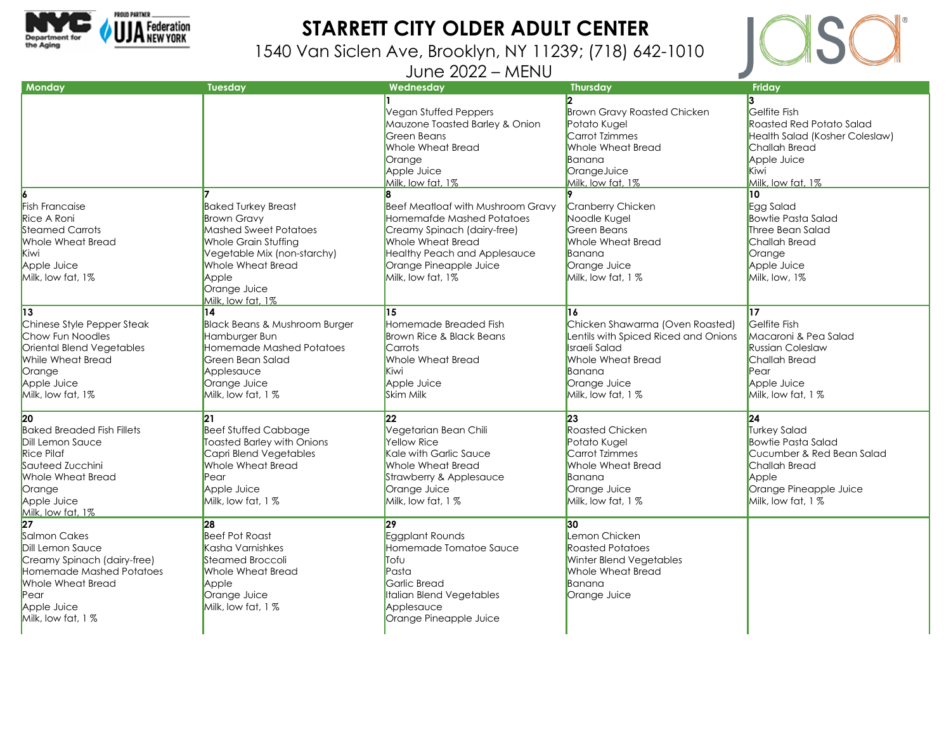

## **STARRETT CITY OLDER ADULT CENTER**

1540 Van Siclen Ave, Brooklyn, NY 11239; (718) 642-1010

June 2022 – MENU